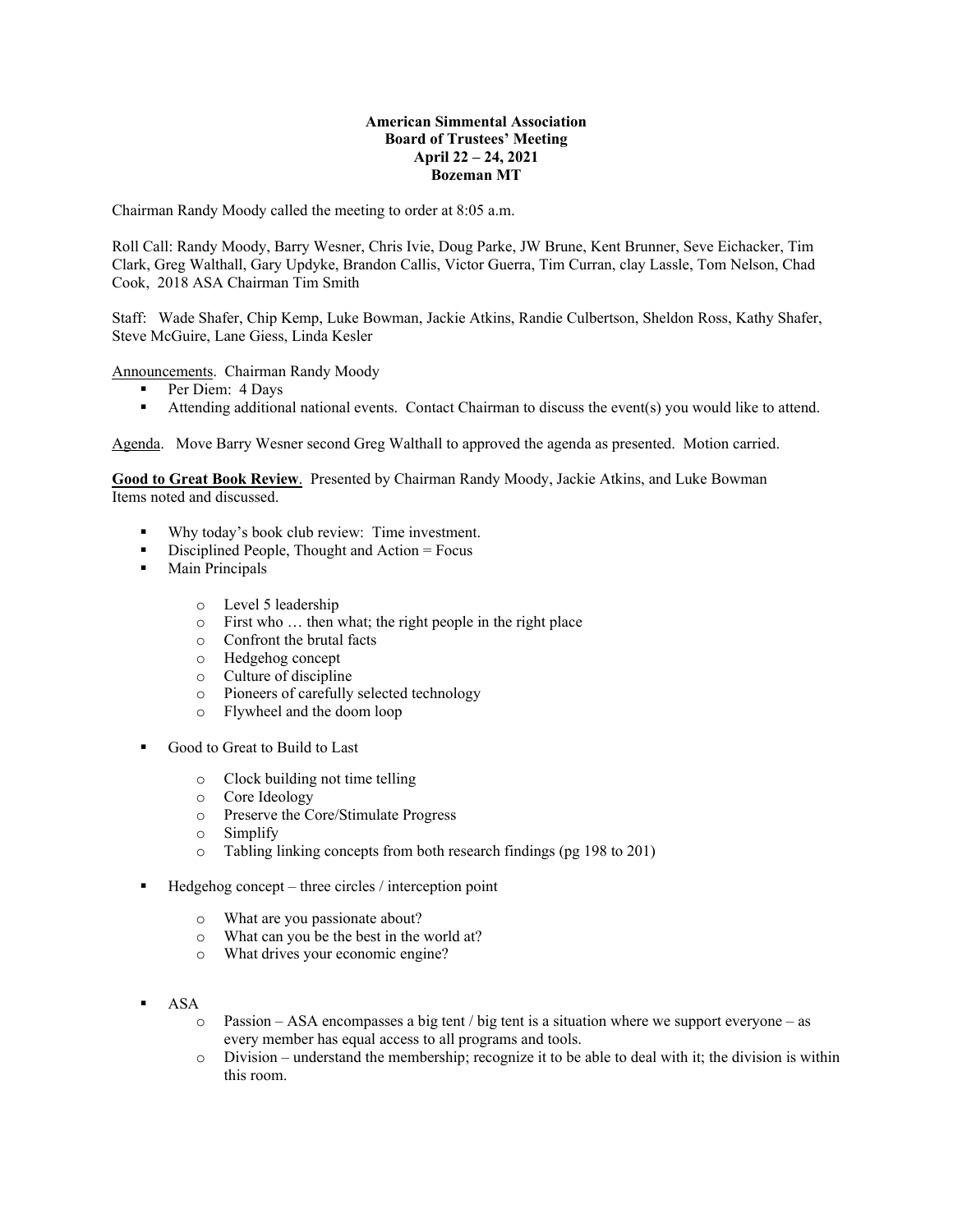# **American Simmental Association Board of Trustees' Meeting April 22 – 24, 2021 Bozeman MT**

Chairman Randy Moody called the meeting to order at 8:05 a.m.

Roll Call: Randy Moody, Barry Wesner, Chris Ivie, Doug Parke, JW Brune, Kent Brunner, Seve Eichacker, Tim Clark, Greg Walthall, Gary Updyke, Brandon Callis, Victor Guerra, Tim Curran, clay Lassle, Tom Nelson, Chad Cook, 2018 ASA Chairman Tim Smith

Staff: Wade Shafer, Chip Kemp, Luke Bowman, Jackie Atkins, Randie Culbertson, Sheldon Ross, Kathy Shafer, Steve McGuire, Lane Giess, Linda Kesler

Announcements. Chairman Randy Moody

- Per Diem: 4 Days
- Attending additional national events. Contact Chairman to discuss the event(s) you would like to attend.

Agenda. Move Barry Wesner second Greg Walthall to approved the agenda as presented. Motion carried.

**Good to Great Book Review**. Presented by Chairman Randy Moody, Jackie Atkins, and Luke Bowman Items noted and discussed.

- Why today's book club review: Time investment.
- $\blacksquare$  Disciplined People, Thought and Action = Focus
- **Main Principals** 
	- o Level 5 leadership
	- o First who … then what; the right people in the right place
	- o Confront the brutal facts
	- o Hedgehog concept
	- o Culture of discipline
	- o Pioneers of carefully selected technology
	- o Flywheel and the doom loop
- Good to Great to Build to Last
	- o Clock building not time telling
	- o Core Ideology
	- o Preserve the Core/Stimulate Progress
	- o Simplify
	- o Tabling linking concepts from both research findings (pg 198 to 201)
- Hedgehog concept three circles / interception point
	- o What are you passionate about?
	- o What can you be the best in the world at?
	- o What drives your economic engine?
- ASA
	- $\circ$  Passion ASA encompasses a big tent / big tent is a situation where we support everyone as every member has equal access to all programs and tools.
	- o Division understand the membership; recognize it to be able to deal with it; the division is within this room.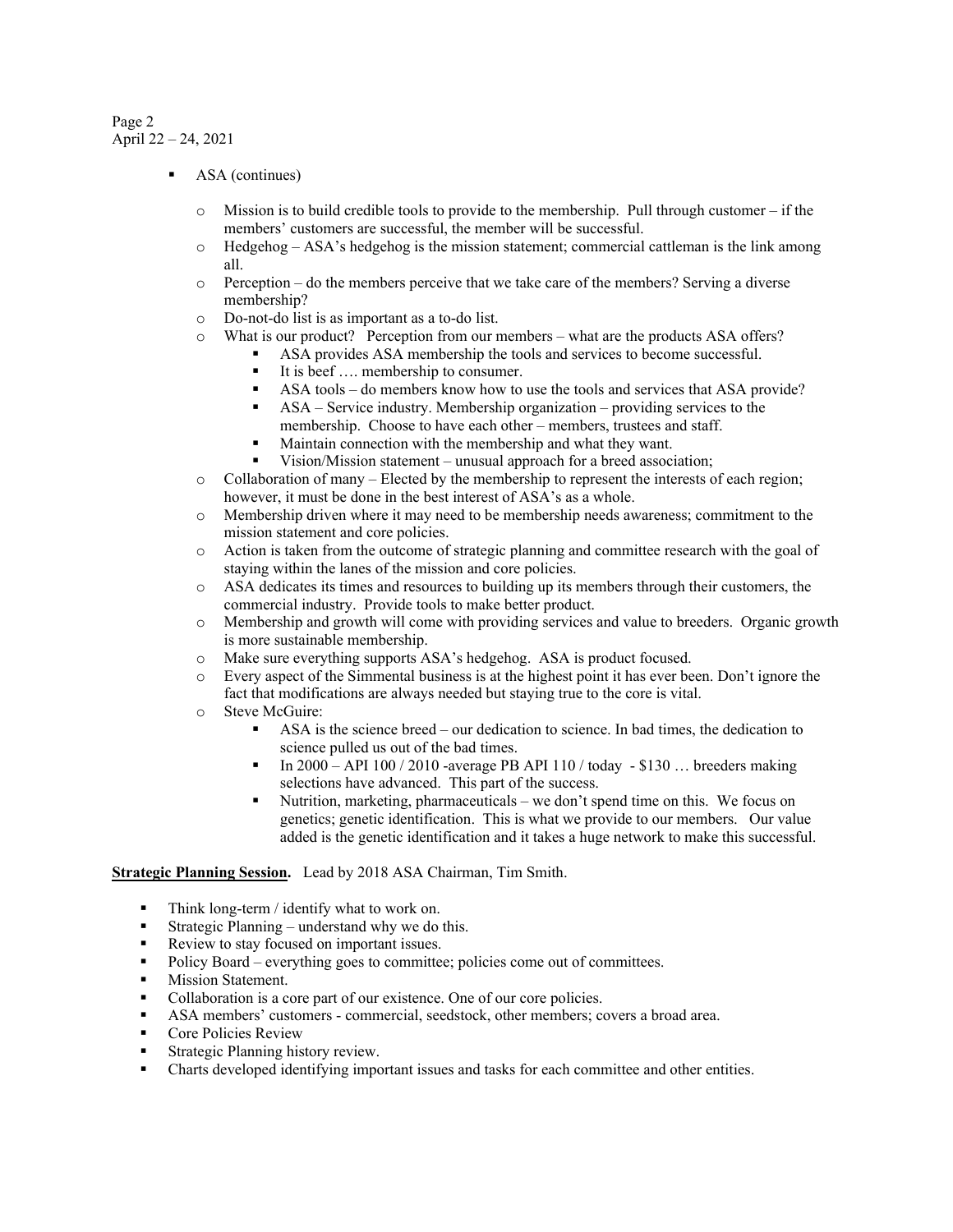# Page 2 April 22 – 24, 2021

- ASA (continues)
	- $\circ$  Mission is to build credible tools to provide to the membership. Pull through customer if the members' customers are successful, the member will be successful.
	- $\circ$  Hedgehog ASA's hedgehog is the mission statement; commercial cattleman is the link among all.
	- $\circ$  Perception do the members perceive that we take care of the members? Serving a diverse membership?
	- o Do-not-do list is as important as a to-do list.
	- o What is our product? Perception from our members what are the products ASA offers?
		- ASA provides ASA membership the tools and services to become successful.
		- It is beef .... membership to consumer.
		- ASA tools do members know how to use the tools and services that ASA provide?
		- ASA Service industry. Membership organization providing services to the membership. Choose to have each other – members, trustees and staff.
		- Maintain connection with the membership and what they want.
		- Vision/Mission statement unusual approach for a breed association;
	- o Collaboration of many Elected by the membership to represent the interests of each region; however, it must be done in the best interest of ASA's as a whole.
	- o Membership driven where it may need to be membership needs awareness; commitment to the mission statement and core policies.
	- o Action is taken from the outcome of strategic planning and committee research with the goal of staying within the lanes of the mission and core policies.
	- o ASA dedicates its times and resources to building up its members through their customers, the commercial industry. Provide tools to make better product.
	- o Membership and growth will come with providing services and value to breeders. Organic growth is more sustainable membership.
	- o Make sure everything supports ASA's hedgehog. ASA is product focused.
	- o Every aspect of the Simmental business is at the highest point it has ever been. Don't ignore the fact that modifications are always needed but staying true to the core is vital.
	- o Steve McGuire:
		- ASA is the science breed our dedication to science. In bad times, the dedication to science pulled us out of the bad times.
		- In 2000 API 100 / 2010 -average PB API 110 / today \$130 … breeders making selections have advanced. This part of the success.
		- Nutrition, marketing, pharmaceuticals we don't spend time on this. We focus on genetics; genetic identification. This is what we provide to our members. Our value added is the genetic identification and it takes a huge network to make this successful.

**Strategic Planning Session.** Lead by 2018 ASA Chairman, Tim Smith.

- Think long-term / identify what to work on.
- Strategic Planning understand why we do this.
- Review to stay focused on important issues.
- Policy Board everything goes to committee; policies come out of committees.
- **Mission Statement.**
- Collaboration is a core part of our existence. One of our core policies.
- ASA members' customers commercial, seedstock, other members; covers a broad area.
- **Core Policies Review**
- Strategic Planning history review.
- Charts developed identifying important issues and tasks for each committee and other entities.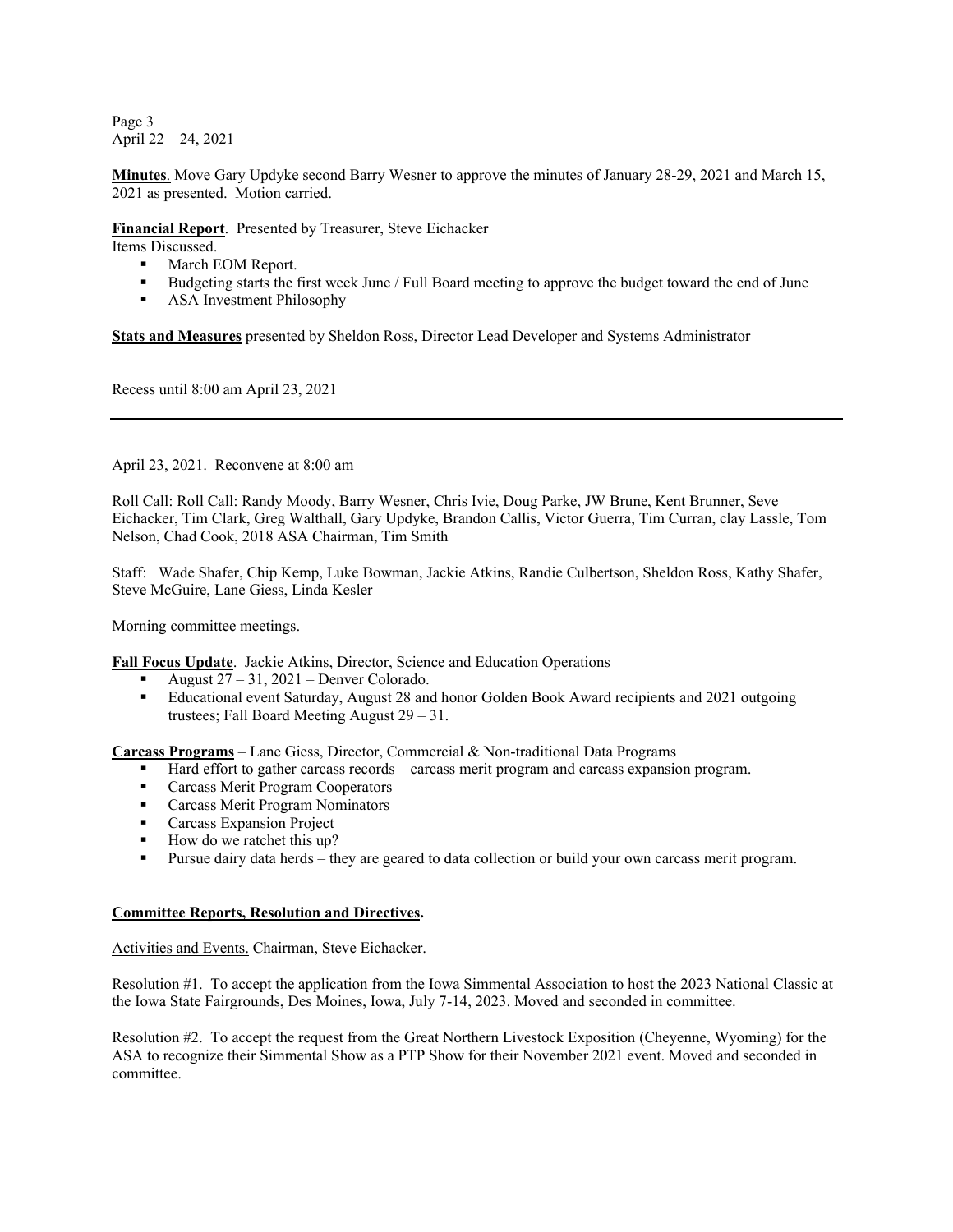Page 3 April 22 – 24, 2021

**Minutes**. Move Gary Updyke second Barry Wesner to approve the minutes of January 28-29, 2021 and March 15, 2021 as presented. Motion carried.

# **Financial Report**. Presented by Treasurer, Steve Eichacker

Items Discussed.

- March EOM Report.<br>• Budgeting starts the f
- Budgeting starts the first week June / Full Board meeting to approve the budget toward the end of June
- **ASA** Investment Philosophy

**Stats and Measures** presented by Sheldon Ross, Director Lead Developer and Systems Administrator

Recess until 8:00 am April 23, 2021

April 23, 2021. Reconvene at 8:00 am

Roll Call: Roll Call: Randy Moody, Barry Wesner, Chris Ivie, Doug Parke, JW Brune, Kent Brunner, Seve Eichacker, Tim Clark, Greg Walthall, Gary Updyke, Brandon Callis, Victor Guerra, Tim Curran, clay Lassle, Tom Nelson, Chad Cook, 2018 ASA Chairman, Tim Smith

Staff: Wade Shafer, Chip Kemp, Luke Bowman, Jackie Atkins, Randie Culbertson, Sheldon Ross, Kathy Shafer, Steve McGuire, Lane Giess, Linda Kesler

Morning committee meetings.

**Fall Focus Update**. Jackie Atkins, Director, Science and Education Operations

- August 27 31, 2021 Denver Colorado.
- Educational event Saturday, August 28 and honor Golden Book Award recipients and 2021 outgoing trustees; Fall Board Meeting August 29 – 31.

**Carcass Programs** – Lane Giess, Director, Commercial & Non-traditional Data Programs

- Hard effort to gather carcass records carcass merit program and carcass expansion program.
- **Carcass Merit Program Cooperators**
- **Carcass Merit Program Nominators**
- **Carcass Expansion Project**
- How do we ratchet this up?
- Pursue dairy data herds they are geared to data collection or build your own carcass merit program.

## **Committee Reports, Resolution and Directives.**

Activities and Events. Chairman, Steve Eichacker.

Resolution #1. To accept the application from the Iowa Simmental Association to host the 2023 National Classic at the Iowa State Fairgrounds, Des Moines, Iowa, July 7-14, 2023. Moved and seconded in committee.

Resolution #2. To accept the request from the Great Northern Livestock Exposition (Cheyenne, Wyoming) for the ASA to recognize their Simmental Show as a PTP Show for their November 2021 event. Moved and seconded in committee.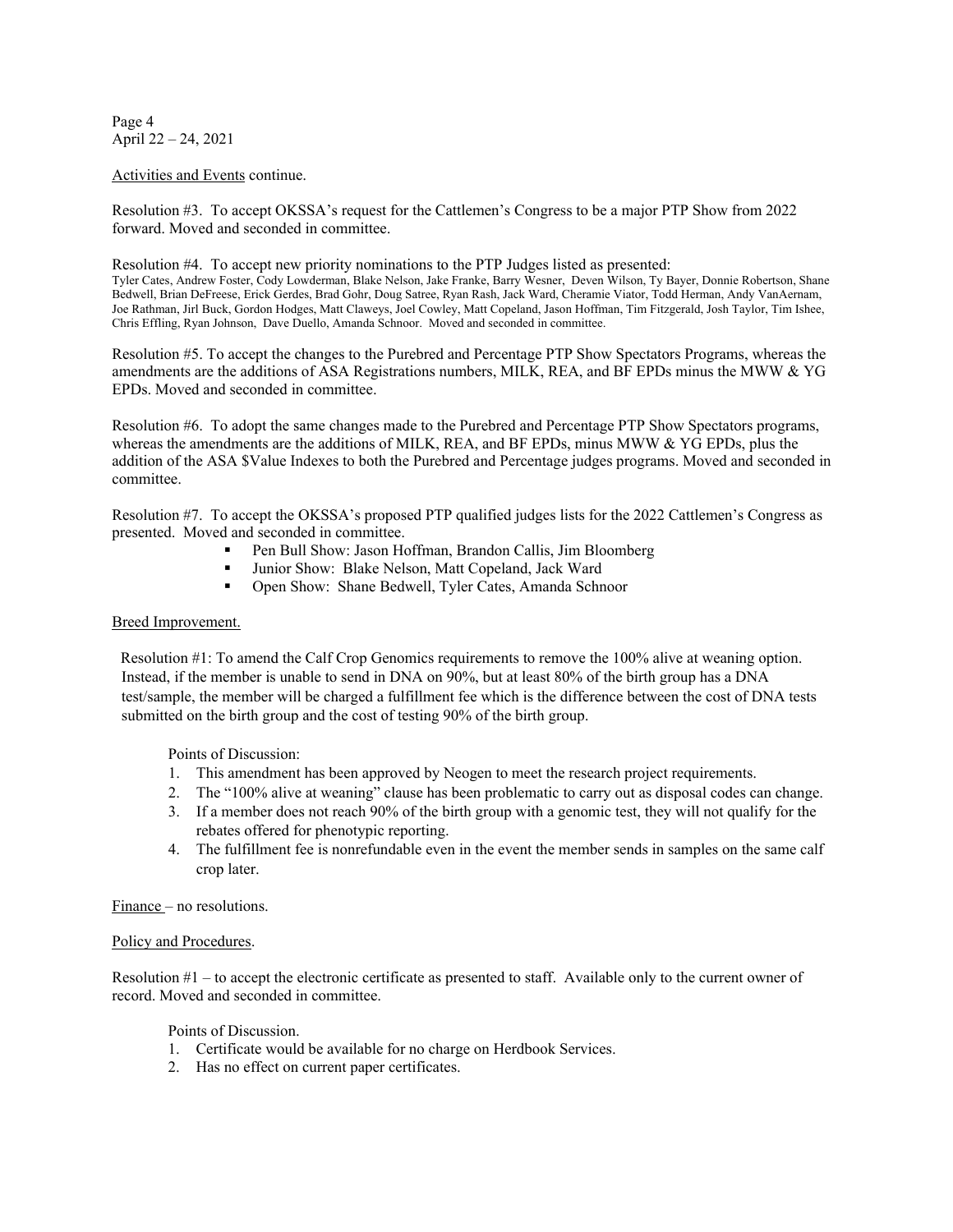Page 4 April 22 – 24, 2021

#### Activities and Events continue.

Resolution #3. To accept OKSSA's request for the Cattlemen's Congress to be a major PTP Show from 2022 forward. Moved and seconded in committee.

Resolution #4. To accept new priority nominations to the PTP Judges listed as presented: Tyler Cates, Andrew Foster, Cody Lowderman, Blake Nelson, Jake Franke, Barry Wesner, Deven Wilson, Ty Bayer, Donnie Robertson, Shane Bedwell, Brian DeFreese, Erick Gerdes, Brad Gohr, Doug Satree, Ryan Rash, Jack Ward, Cheramie Viator, Todd Herman, Andy VanAernam, Joe Rathman, Jirl Buck, Gordon Hodges, Matt Claweys, Joel Cowley, Matt Copeland, Jason Hoffman, Tim Fitzgerald, Josh Taylor, Tim Ishee, Chris Effling, Ryan Johnson, Dave Duello, Amanda Schnoor. Moved and seconded in committee.

Resolution #5. To accept the changes to the Purebred and Percentage PTP Show Spectators Programs, whereas the amendments are the additions of ASA Registrations numbers, MILK, REA, and BF EPDs minus the MWW & YG EPDs. Moved and seconded in committee.

Resolution #6. To adopt the same changes made to the Purebred and Percentage PTP Show Spectators programs, whereas the amendments are the additions of MILK, REA, and BF EPDs, minus MWW & YG EPDs, plus the addition of the ASA \$Value Indexes to both the Purebred and Percentage judges programs. Moved and seconded in committee.

Resolution #7. To accept the OKSSA's proposed PTP qualified judges lists for the 2022 Cattlemen's Congress as presented. Moved and seconded in committee.

- Pen Bull Show: Jason Hoffman, Brandon Callis, Jim Bloomberg
- Junior Show: Blake Nelson, Matt Copeland, Jack Ward
- Open Show: Shane Bedwell, Tyler Cates, Amanda Schnoor

## Breed Improvement.

Resolution #1: To amend the Calf Crop Genomics requirements to remove the 100% alive at weaning option. Instead, if the member is unable to send in DNA on 90%, but at least 80% of the birth group has a DNA test/sample, the member will be charged a fulfillment fee which is the difference between the cost of DNA tests submitted on the birth group and the cost of testing 90% of the birth group.

Points of Discussion:

- 1. This amendment has been approved by Neogen to meet the research project requirements.
- 2. The "100% alive at weaning" clause has been problematic to carry out as disposal codes can change.
- 3. If a member does not reach 90% of the birth group with a genomic test, they will not qualify for the rebates offered for phenotypic reporting.
- 4. The fulfillment fee is nonrefundable even in the event the member sends in samples on the same calf crop later.

Finance – no resolutions.

#### Policy and Procedures.

Resolution #1 – to accept the electronic certificate as presented to staff. Available only to the current owner of record. Moved and seconded in committee.

Points of Discussion.

- 1. Certificate would be available for no charge on Herdbook Services.
- 2. Has no effect on current paper certificates.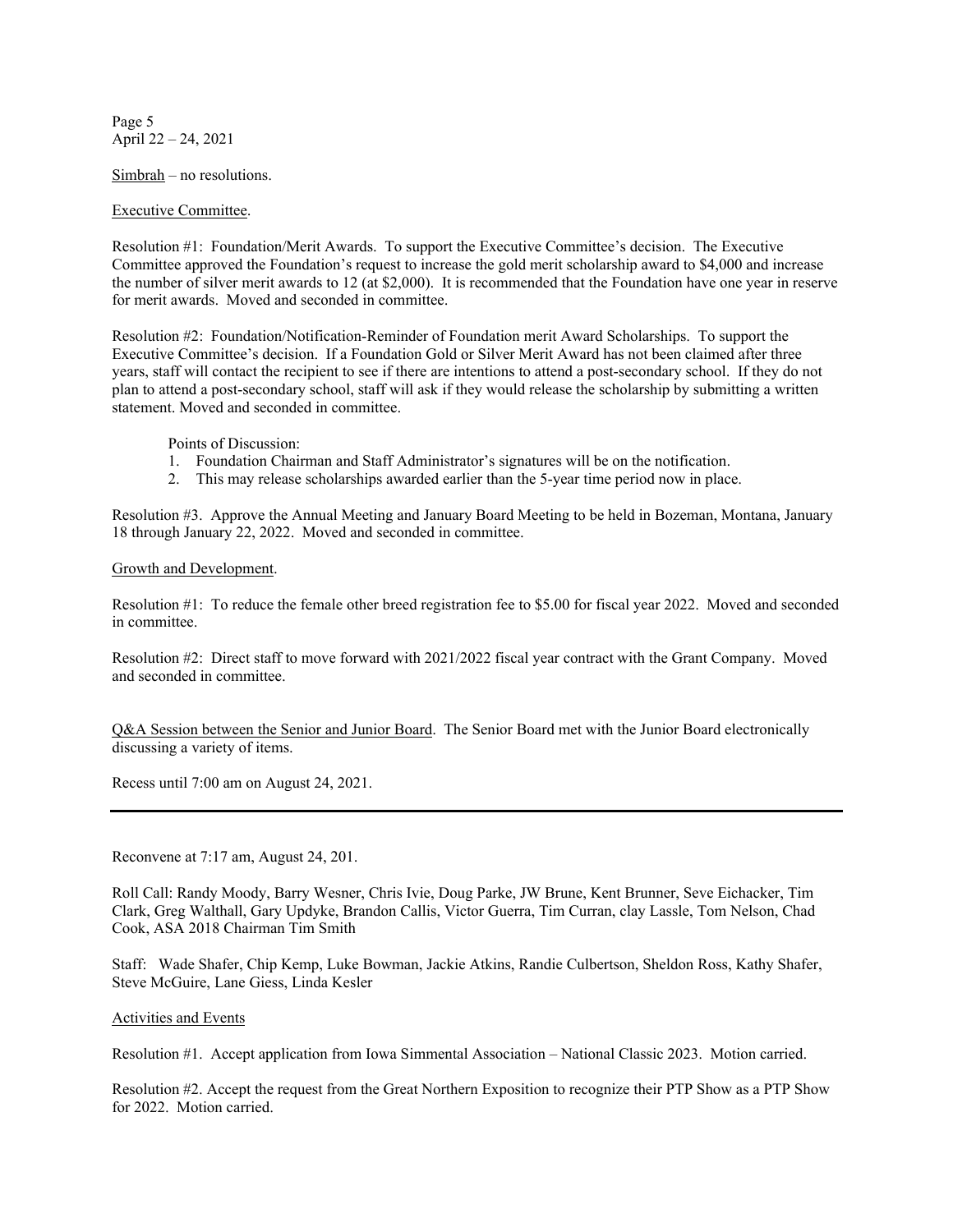Page 5 April 22 – 24, 2021

Simbrah – no resolutions.

## Executive Committee.

Resolution #1: Foundation/Merit Awards. To support the Executive Committee's decision. The Executive Committee approved the Foundation's request to increase the gold merit scholarship award to \$4,000 and increase the number of silver merit awards to 12 (at \$2,000). It is recommended that the Foundation have one year in reserve for merit awards. Moved and seconded in committee.

Resolution #2: Foundation/Notification-Reminder of Foundation merit Award Scholarships. To support the Executive Committee's decision. If a Foundation Gold or Silver Merit Award has not been claimed after three years, staff will contact the recipient to see if there are intentions to attend a post-secondary school. If they do not plan to attend a post-secondary school, staff will ask if they would release the scholarship by submitting a written statement. Moved and seconded in committee.

Points of Discussion:

- 1. Foundation Chairman and Staff Administrator's signatures will be on the notification.
- 2. This may release scholarships awarded earlier than the 5-year time period now in place.

Resolution #3. Approve the Annual Meeting and January Board Meeting to be held in Bozeman, Montana, January 18 through January 22, 2022. Moved and seconded in committee.

## Growth and Development.

Resolution #1: To reduce the female other breed registration fee to \$5.00 for fiscal year 2022. Moved and seconded in committee.

Resolution #2: Direct staff to move forward with 2021/2022 fiscal year contract with the Grant Company. Moved and seconded in committee.

Q&A Session between the Senior and Junior Board. The Senior Board met with the Junior Board electronically discussing a variety of items.

Recess until 7:00 am on August 24, 2021.

Reconvene at 7:17 am, August 24, 201.

Roll Call: Randy Moody, Barry Wesner, Chris Ivie, Doug Parke, JW Brune, Kent Brunner, Seve Eichacker, Tim Clark, Greg Walthall, Gary Updyke, Brandon Callis, Victor Guerra, Tim Curran, clay Lassle, Tom Nelson, Chad Cook, ASA 2018 Chairman Tim Smith

Staff: Wade Shafer, Chip Kemp, Luke Bowman, Jackie Atkins, Randie Culbertson, Sheldon Ross, Kathy Shafer, Steve McGuire, Lane Giess, Linda Kesler

Activities and Events

Resolution #1. Accept application from Iowa Simmental Association – National Classic 2023. Motion carried.

Resolution #2. Accept the request from the Great Northern Exposition to recognize their PTP Show as a PTP Show for 2022. Motion carried.